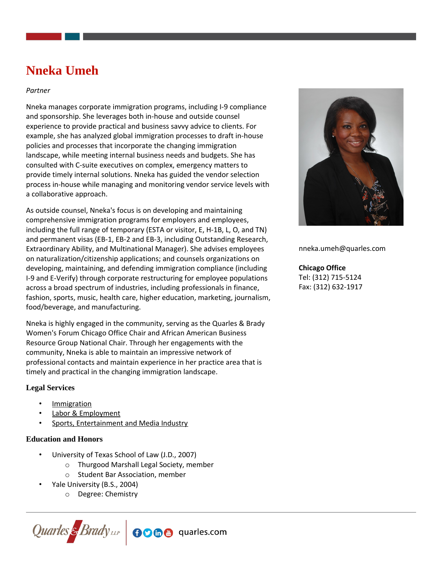# **Nneka Umeh**

### *Partner*

Nneka manages corporate immigration programs, including I-9 compliance and sponsorship. She leverages both in-house and outside counsel experience to provide practical and business savvy advice to clients. For example, she has analyzed global immigration processes to draft in-house policies and processes that incorporate the changing immigration landscape, while meeting internal business needs and budgets. She has consulted with C-suite executives on complex, emergency matters to provide timely internal solutions. Nneka has guided the vendor selection process in-house while managing and monitoring vendor service levels with a collaborative approach.

As outside counsel, Nneka's focus is on developing and maintaining comprehensive immigration programs for employers and employees, including the full range of temporary (ESTA or visitor, E, H-1B, L, O, and TN) and permanent visas (EB-1, EB-2 and EB-3, including Outstanding Research, Extraordinary Ability, and Multinational Manager). She advises employees on naturalization/citizenship applications; and counsels organizations on developing, maintaining, and defending immigration compliance (including I-9 and E-Verify) through corporate restructuring for employee populations across a broad spectrum of industries, including professionals in finance, fashion, sports, music, health care, higher education, marketing, journalism, food/beverage, and manufacturing.

Nneka is highly engaged in the community, serving as the Quarles & Brady Women's Forum Chicago Office Chair and African American Business Resource Group National Chair. Through her engagements with the community, Nneka is able to maintain an impressive network of professional contacts and maintain experience in her practice area that is timely and practical in the changing immigration landscape.

# **Legal Services**

- **[Immigration](https://www.quarles.com/immigration/)**
- [Labor & Employment](https://www.quarles.com/labor-employment/)
- [Sports, Entertainment and Media Industry](https://www.quarles.com/sports-entertainment-and-media-industry/)

#### **Education and Honors**

- University of Texas School of Law (J.D., 2007)
	- o Thurgood Marshall Legal Society, member
	- o Student Bar Association, member
- Yale University (B.S., 2004)
	- o Degree: Chemistry





nneka.umeh@quarles.com

**Chicago Office** Tel: (312) 715-5124 Fax: (312) 632-1917